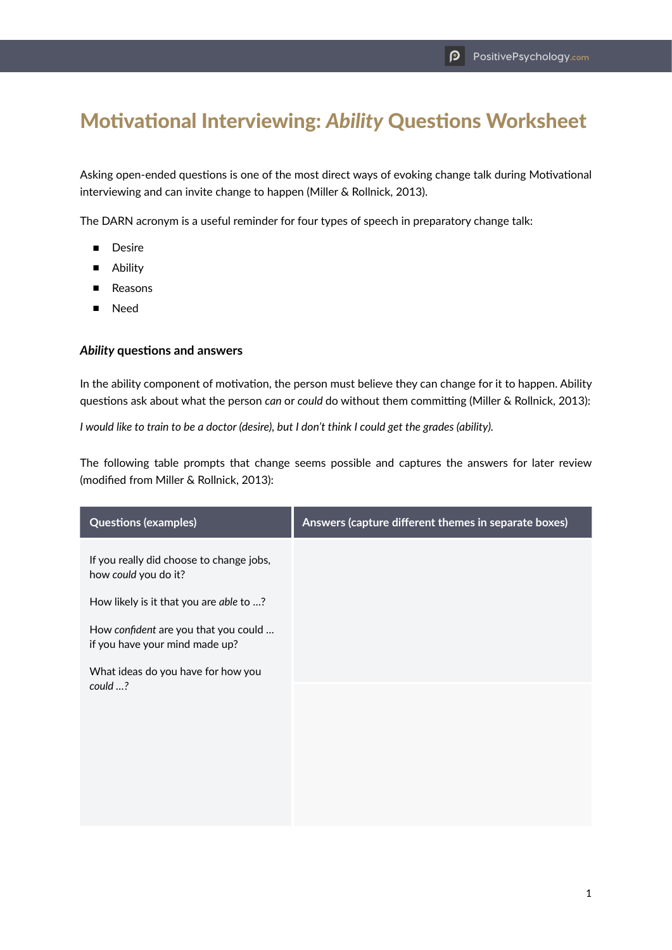## Motivational Interviewing: *Ability* Questions Worksheet

Asking open-ended questions is one of the most direct ways of evoking change talk during Motivational interviewing and can invite change to happen (Miller & Rollnick, 2013).

The DARN acronym is a useful reminder for four types of speech in preparatory change talk:

- Desire
- Ability
- Reasons
- Need

## *Ability* **questions and answers**

In the ability component of motivation, the person must believe they can change for it to happen. Ability questions ask about what the person *can* or *could* do without them committing (Miller & Rollnick, 2013):

*I would like to train to be a doctor (desire), but I don't think I could get the grades (ability).*

The following table prompts that change seems possible and captures the answers for later review (modified from Miller & Rollnick, 2013):

| <b>Questions (examples)</b>                                            | Answers (capture different themes in separate boxes) |
|------------------------------------------------------------------------|------------------------------------------------------|
| If you really did choose to change jobs,<br>how could you do it?       |                                                      |
| How likely is it that you are able to ?                                |                                                      |
| How confident are you that you could<br>if you have your mind made up? |                                                      |
| What ideas do you have for how you                                     |                                                      |
| could ?                                                                |                                                      |
|                                                                        |                                                      |
|                                                                        |                                                      |
|                                                                        |                                                      |
|                                                                        |                                                      |